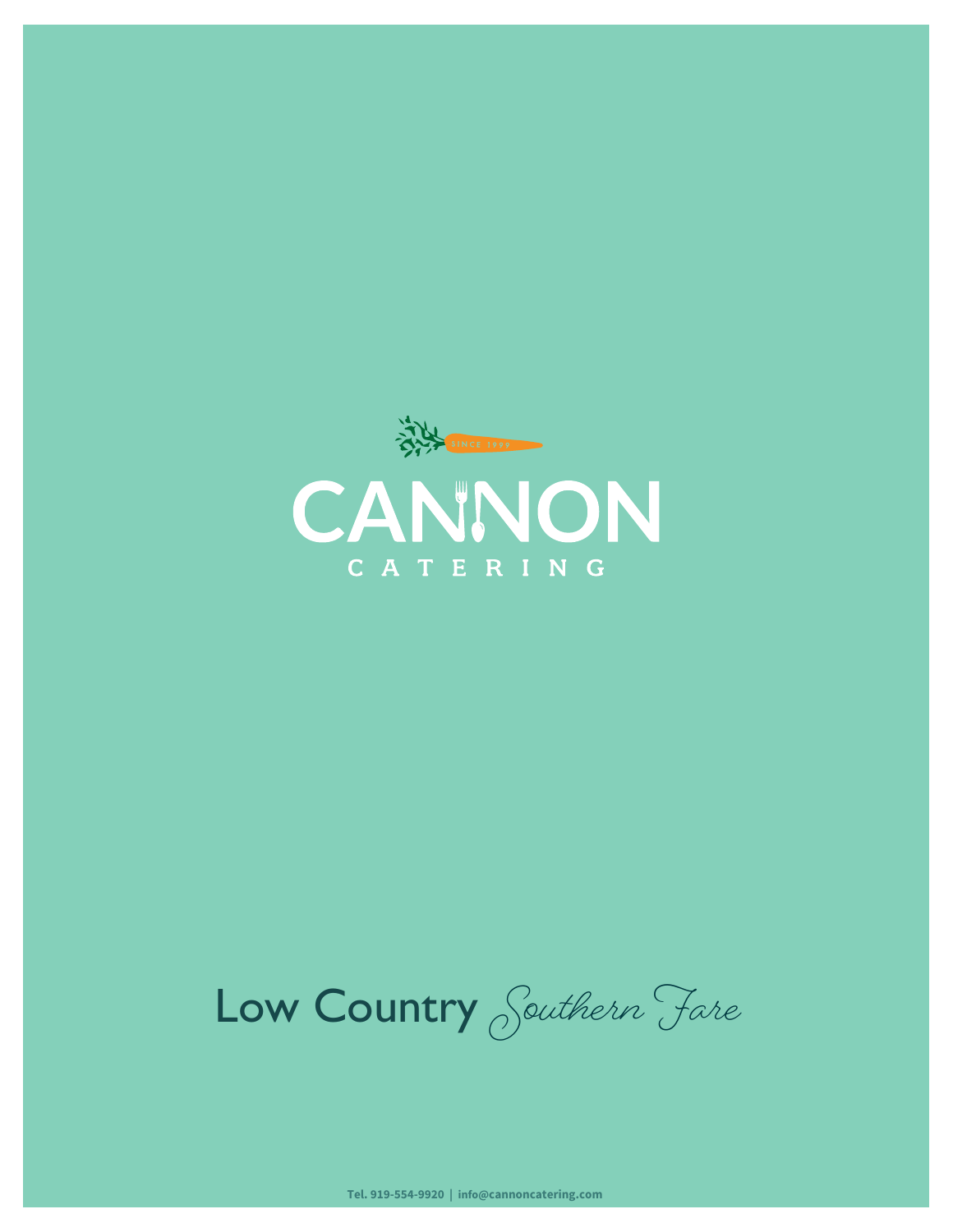

Low Country Southern Fare

**Tel. 919-554-9920 | info@cannoncatering.com**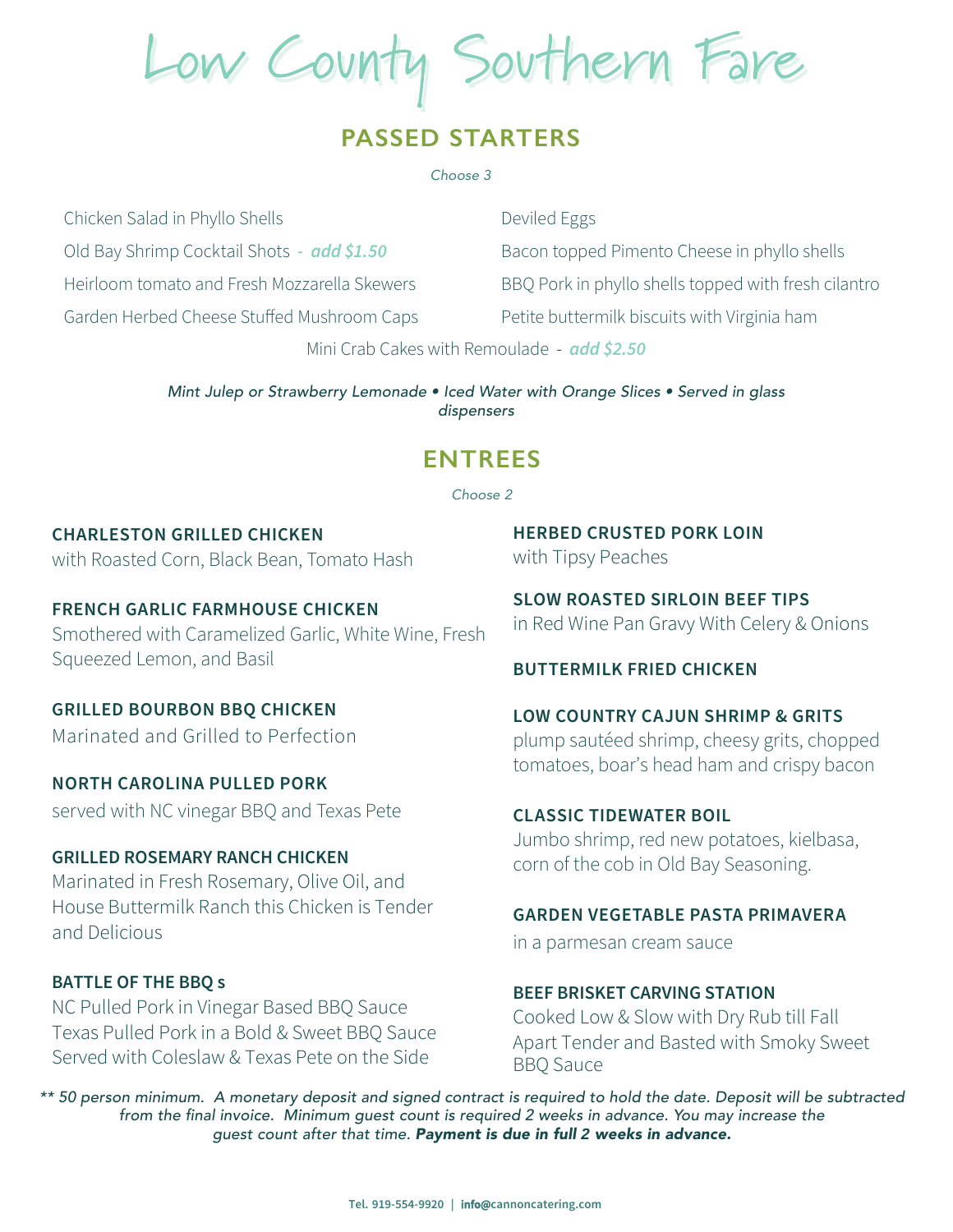Low County Southern Fare

## **PASSED STARTERS**

#### *Choose 3*

Chicken Salad in Phyllo Shells

Old Bay Shrimp Cocktail Shots *- add \$1.50*

Heirloom tomato and Fresh Mozzarella Skewers

Garden Herbed Cheese Stuffed Mushroom Caps

Deviled Eggs Bacon topped Pimento Cheese in phyllo shells BBQ Pork in phyllo shells topped with fresh cilantro Petite buttermilk biscuits with Virginia ham

Mini Crab Cakes with Remoulade - *add \$2.50* 

*Mint Julep or Strawberry Lemonade • Iced Water with Orange Slices • Served in glass dispensers*

## **ENTREES**

#### *Choose 2*

# **CHARLESTON GRILLED CHICKEN**

with Roasted Corn, Black Bean, Tomato Hash

### **FRENCH GARLIC FARMHOUSE CHICKEN** Smothered with Caramelized Garlic, White Wine, Fresh Squeezed Lemon, and Basil

# **GRILLED BOURBON BBQ CHICKEN**

Marinated and Grilled to Perfection

### **NORTH CAROLINA PULLED PORK**

served with NC vinegar BBQ and Texas Pete

#### **GRILLED ROSEMARY RANCH CHICKEN**

**Marinated in Fresh Rosemary, Olive Oil, and House Buttermilk Ranch this Chicken is Tender and Delicious**

### **BATTLE OF THE BBQ s**

NC Pulled Pork in Vinegar Based BBQ Sauce Texas Pulled Pork in a Bold & Sweet BBQ Sauce Served with Coleslaw & Texas Pete on the Side

**HERBED CRUSTED PORK LOIN** with Tipsy Peaches

**SLOW ROASTED SIRLOIN BEEF TIPS** in Red Wine Pan Gravy With Celery & Onions

#### **BUTTERMILK FRIED CHICKEN**

## **LOW COUNTRY CAJUN SHRIMP & GRITS** plump sautéed shrimp, cheesy grits, chopped tomatoes, boar's head ham and crispy bacon

#### **CLASSIC TIDEWATER BOIL**

Jumbo shrimp, red new potatoes, kielbasa, corn of the cob in Old Bay Seasoning.

#### **GARDEN VEGETABLE PASTA PRIMAVERA**

in a parmesan cream sauce

#### **BE EF BRISKET CARVING STATION**

 **& Slow with Dry Rub till Fall Cooked Low Apart Tender and Basted with Smoky Sweet BBQ Sauce** 

*\*\* 50 person minimum. A monetary deposit and signed contract is required to hold the date. Deposit will be* subtracted from the final invoice. Minimum guest count is required 2 weeks in advance. You may increase the *guest count after that time. Payment is due in full weeks in advance.* **2**